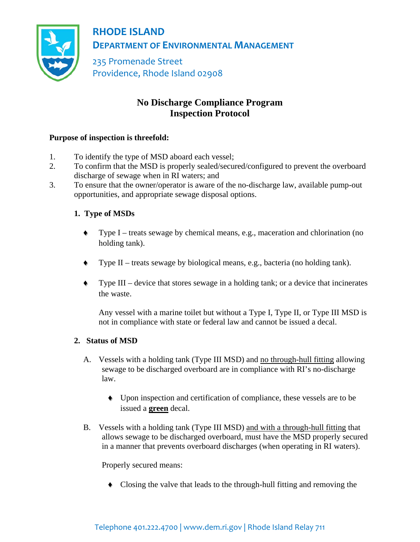

**RHODE ISLAND DEPARTMENT OF ENVIRONMENTAL MANAGEMENT**

235 Promenade Street Providence, Rhode Island 02908

# **No Discharge Compliance Program Inspection Protocol**

## **Purpose of inspection is threefold:**

- 1. To identify the type of MSD aboard each vessel;
- 2. To confirm that the MSD is properly sealed/secured/configured to prevent the overboard discharge of sewage when in RI waters; and
- 3. To ensure that the owner/operator is aware of the no-discharge law, available pump-out opportunities, and appropriate sewage disposal options.

# **1. Type of MSDs**

- ♦ Type I treats sewage by chemical means, e.g., maceration and chlorination (no holding tank).
- ♦ Type II treats sewage by biological means, e.g., bacteria (no holding tank).
- ♦ Type III device that stores sewage in a holding tank; or a device that incinerates the waste.

Any vessel with a marine toilet but without a Type I, Type II, or Type III MSD is not in compliance with state or federal law and cannot be issued a decal.

#### **2. Status of MSD**

- A. Vessels with a holding tank (Type III MSD) and no through-hull fitting allowing sewage to be discharged overboard are in compliance with RI's no-discharge law.
	- ♦ Upon inspection and certification of compliance, these vessels are to be issued a **green** decal.
- B. Vessels with a holding tank (Type III MSD) and with a through-hull fitting that allows sewage to be discharged overboard, must have the MSD properly secured in a manner that prevents overboard discharges (when operating in RI waters).

Properly secured means:

♦ Closing the valve that leads to the through-hull fitting and removing the